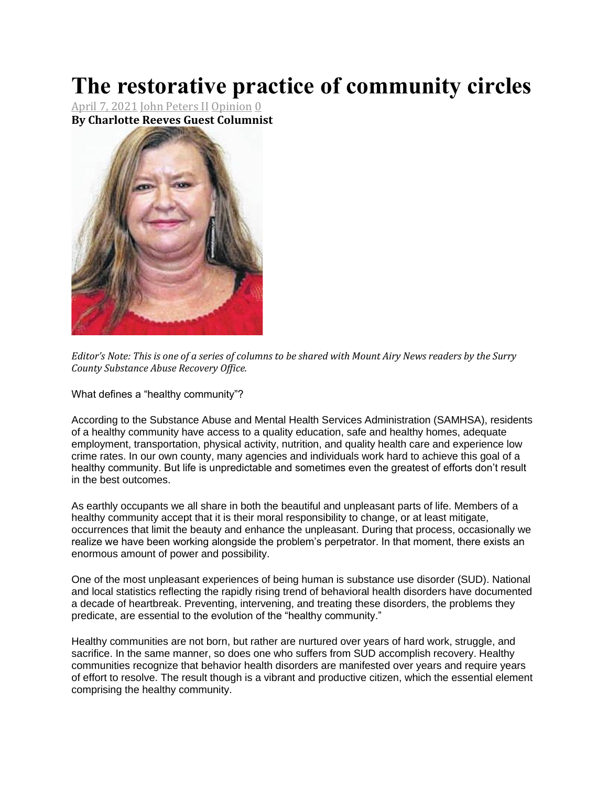## **The restorative practice of community circles**

April 7, [2021](https://www.mtairynews.com/date/2021/04) John [Peters](https://www.mtairynews.com/author/jpeters) II [Opinion](https://www.mtairynews.com/category/opinion) [0](https://www.mtairynews.com/opinion/96378/the-restorative-practice-of-community-circles#disqus_thread) **By Charlotte Reeves Guest Columnist**



Editor's Note: This is one of a series of columns to be shared with Mount Airy News readers by the Surry *County Substance Abuse Recovery Office.*

What defines a "healthy community"?

According to the Substance Abuse and Mental Health Services Administration (SAMHSA), residents of a healthy community have access to a quality education, safe and healthy homes, adequate employment, transportation, physical activity, nutrition, and quality health care and experience low crime rates. In our own county, many agencies and individuals work hard to achieve this goal of a healthy community. But life is unpredictable and sometimes even the greatest of efforts don't result in the best outcomes.

As earthly occupants we all share in both the beautiful and unpleasant parts of life. Members of a healthy community accept that it is their moral responsibility to change, or at least mitigate, occurrences that limit the beauty and enhance the unpleasant. During that process, occasionally we realize we have been working alongside the problem's perpetrator. In that moment, there exists an enormous amount of power and possibility.

One of the most unpleasant experiences of being human is substance use disorder (SUD). National and local statistics reflecting the rapidly rising trend of behavioral health disorders have documented a decade of heartbreak. Preventing, intervening, and treating these disorders, the problems they predicate, are essential to the evolution of the "healthy community."

Healthy communities are not born, but rather are nurtured over years of hard work, struggle, and sacrifice. In the same manner, so does one who suffers from SUD accomplish recovery. Healthy communities recognize that behavior health disorders are manifested over years and require years of effort to resolve. The result though is a vibrant and productive citizen, which the essential element comprising the healthy community.